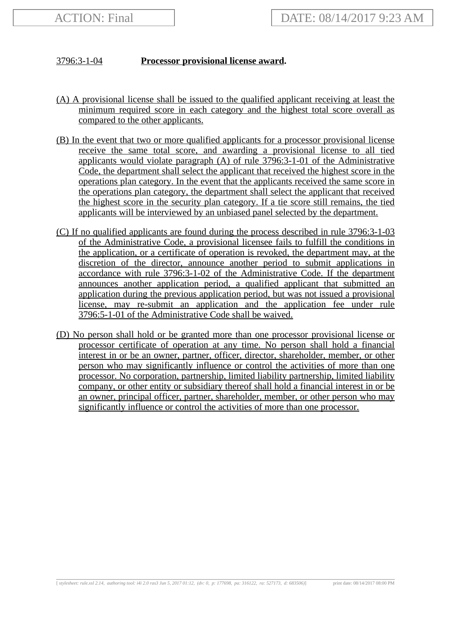## 3796:3-1-04 **Processor provisional license award.**

- (A) A provisional license shall be issued to the qualified applicant receiving at least the minimum required score in each category and the highest total score overall as compared to the other applicants.
- (B) In the event that two or more qualified applicants for a processor provisional license receive the same total score, and awarding a provisional license to all tied applicants would violate paragraph (A) of rule 3796:3-1-01 of the Administrative Code, the department shall select the applicant that received the highest score in the operations plan category. In the event that the applicants received the same score in the operations plan category, the department shall select the applicant that received the highest score in the security plan category. If a tie score still remains, the tied applicants will be interviewed by an unbiased panel selected by the department.
- (C) If no qualified applicants are found during the process described in rule 3796:3-1-03 of the Administrative Code, a provisional licensee fails to fulfill the conditions in the application, or a certificate of operation is revoked, the department may, at the discretion of the director, announce another period to submit applications in accordance with rule 3796:3-1-02 of the Administrative Code. If the department announces another application period, a qualified applicant that submitted an application during the previous application period, but was not issued a provisional license, may re-submit an application and the application fee under rule 3796:5-1-01 of the Administrative Code shall be waived.
- (D) No person shall hold or be granted more than one processor provisional license or processor certificate of operation at any time. No person shall hold a financial interest in or be an owner, partner, officer, director, shareholder, member, or other person who may significantly influence or control the activities of more than one processor. No corporation, partnership, limited liability partnership, limited liability company, or other entity or subsidiary thereof shall hold a financial interest in or be an owner, principal officer, partner, shareholder, member, or other person who may significantly influence or control the activities of more than one processor.